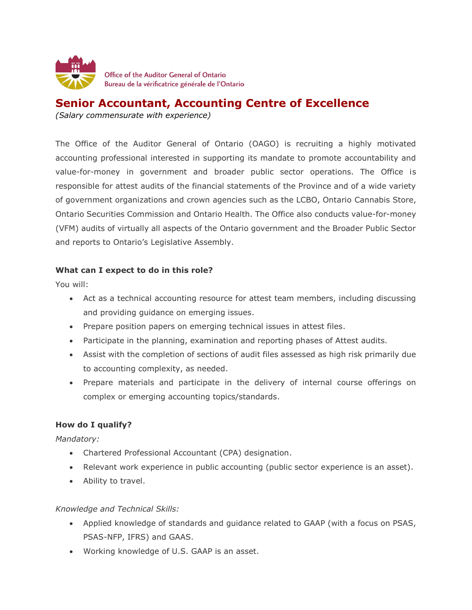

# **Senior Accountant, Accounting Centre of Excellence**

*(Salary commensurate with experience)* 

The Office of the Auditor General of Ontario (OAGO) is recruiting a highly motivated accounting professional interested in supporting its mandate to promote accountability and value-for-money in government and broader public sector operations. The Office is responsible for attest audits of the financial statements of the Province and of a wide variety of government organizations and crown agencies such as the LCBO, Ontario Cannabis Store, Ontario Securities Commission and Ontario Health. The Office also conducts value-for-money (VFM) audits of virtually all aspects of the Ontario government and the Broader Public Sector and reports to Ontario's Legislative Assembly.

## **What can I expect to do in this role?**

You will:

- Act as a technical accounting resource for attest team members, including discussing and providing guidance on emerging issues.
- Prepare position papers on emerging technical issues in attest files.
- Participate in the planning, examination and reporting phases of Attest audits.
- Assist with the completion of sections of audit files assessed as high risk primarily due to accounting complexity, as needed.
- Prepare materials and participate in the delivery of internal course offerings on complex or emerging accounting topics/standards.

### **How do I qualify?**

*Mandatory:*

- Chartered Professional Accountant (CPA) designation.
- Relevant work experience in public accounting (public sector experience is an asset).
- Ability to travel.

*Knowledge and Technical Skills:*

- Applied knowledge of standards and guidance related to GAAP (with a focus on PSAS, PSAS-NFP, IFRS) and GAAS.
- Working knowledge of U.S. GAAP is an asset.